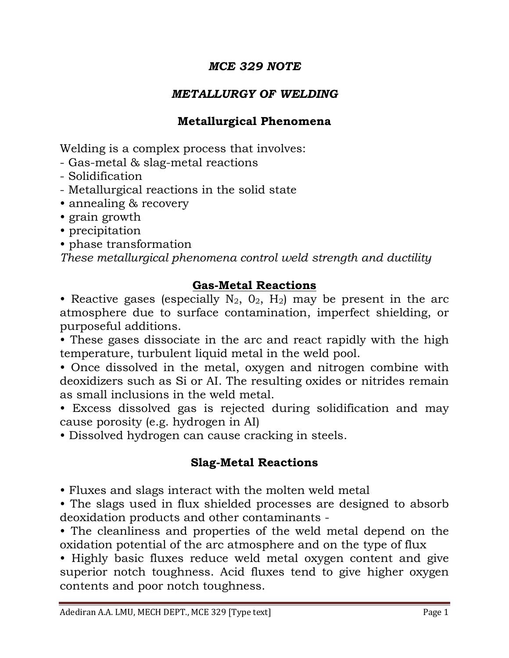### *MCE 329 NOTE*

### *METALLURGY OF WELDING*

### **Metallurgical Phenomena**

Welding is a complex process that involves:

- Gas-metal & slag-metal reactions
- Solidification
- Metallurgical reactions in the solid state
- annealing & recovery
- grain growth
- precipitation
- phase transformation

*These metallurgical phenomena control weld strength and ductility*

### **Gas-Metal Reactions**

• Reactive gases (especially  $N_2$ ,  $O_2$ ,  $H_2$ ) may be present in the arc atmosphere due to surface contamination, imperfect shielding, or purposeful additions.

• These gases dissociate in the arc and react rapidly with the high temperature, turbulent liquid metal in the weld pool.

• Once dissolved in the metal, oxygen and nitrogen combine with deoxidizers such as Si or AI. The resulting oxides or nitrides remain as small inclusions in the weld metal.

• Excess dissolved gas is rejected during solidification and may cause porosity (e.g. hydrogen in AI)

• Dissolved hydrogen can cause cracking in steels.

# **Slag-Metal Reactions**

• Fluxes and slags interact with the molten weld metal

• The slags used in flux shielded processes are designed to absorb deoxidation products and other contaminants -

• The cleanliness and properties of the weld metal depend on the oxidation potential of the arc atmosphere and on the type of flux

• Highly basic fluxes reduce weld metal oxygen content and give superior notch toughness. Acid fluxes tend to give higher oxygen contents and poor notch toughness.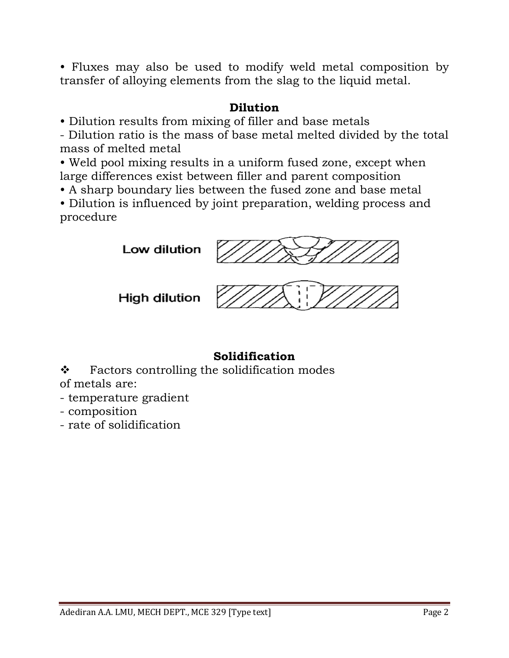• Fluxes may also be used to modify weld metal composition by transfer of alloying elements from the slag to the liquid metal.

### **Dilution**

• Dilution results from mixing of filler and base metals

- Dilution ratio is the mass of base metal melted divided by the total mass of melted metal

• Weld pool mixing results in a uniform fused zone, except when large differences exist between filler and parent composition

• A sharp boundary lies between the fused zone and base metal

• Dilution is influenced by joint preparation, welding process and procedure

Low dilution



High dilution



### **Solidification**

 $\bullet$  Factors controlling the solidification modes of metals are:

- temperature gradient
- composition
- rate of solidification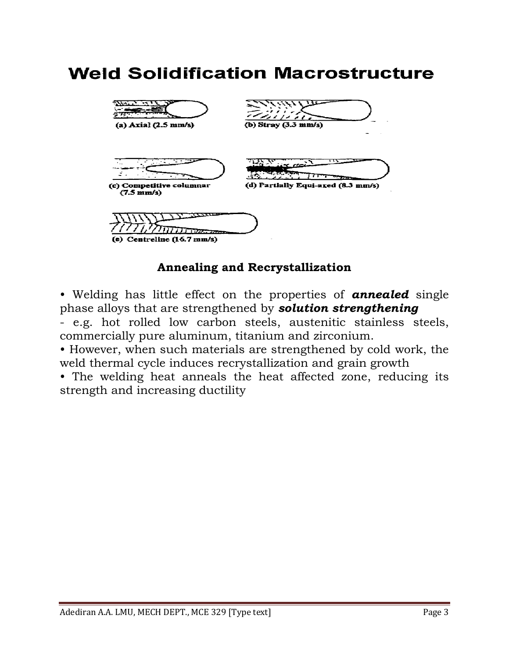# **Weld Solidification Macrostructure**



#### **Annealing and Recrystallization**

• Welding has little effect on the properties of *annealed* single phase alloys that are strengthened by *solution strengthening*

- e.g. hot rolled low carbon steels, austenitic stainless steels, commercially pure aluminum, titanium and zirconium.

• However, when such materials are strengthened by cold work, the weld thermal cycle induces recrystallization and grain growth

• The welding heat anneals the heat affected zone, reducing its strength and increasing ductility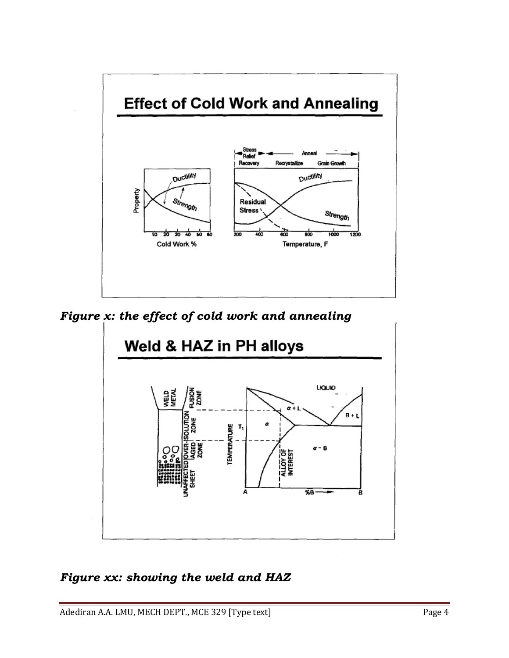

*Figure x: the effect of cold work and annealing*



### *Figure xx: showing the weld and HAZ*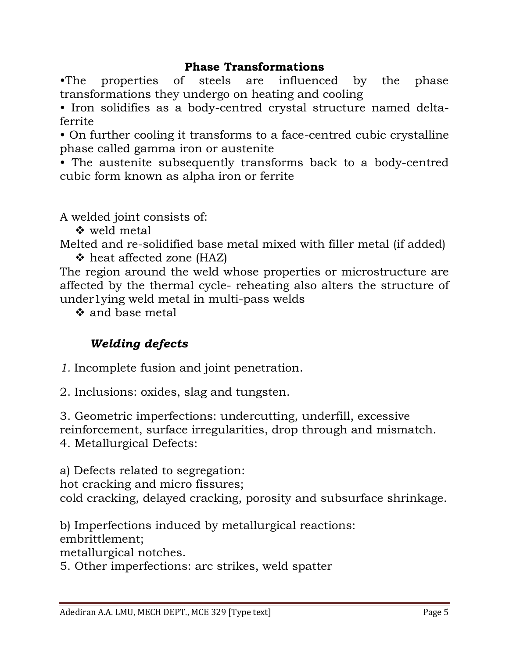### **Phase Transformations**

•The properties of steels are influenced by the phase transformations they undergo on heating and cooling

• Iron solidifies as a body-centred crystal structure named deltaferrite

• On further cooling it transforms to a face-centred cubic crystalline phase called gamma iron or austenite

• The austenite subsequently transforms back to a body-centred cubic form known as alpha iron or ferrite

A welded joint consists of:

**☆** weld metal

Melted and re-solidified base metal mixed with filler metal (if added)  $\div$  heat affected zone (HAZ)

The region around the weld whose properties or microstructure are affected by the thermal cycle- reheating also alters the structure of under1ying weld metal in multi-pass welds

❖ and base metal

# *Welding defects*

*1.* Incomplete fusion and joint penetration.

2. Inclusions: oxides, slag and tungsten.

3. Geometric imperfections: undercutting, underfill, excessive reinforcement, surface irregularities, drop through and mismatch. 4. Metallurgical Defects:

a) Defects related to segregation:

hot cracking and micro fissures;

cold cracking, delayed cracking, porosity and subsurface shrinkage.

b) Imperfections induced by metallurgical reactions:

embrittlement;

metallurgical notches.

5. Other imperfections: arc strikes, weld spatter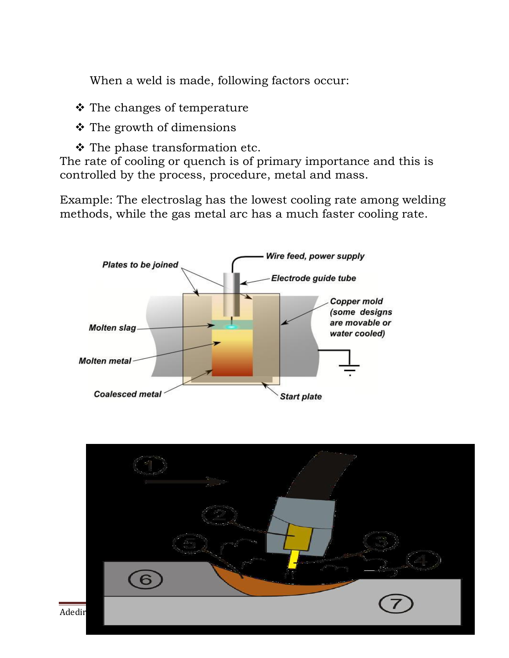When a weld is made, following factors occur:

- $\triangle$  The changes of temperature
- $\div$  The growth of dimensions
- $\triangle$  The phase transformation etc.

The rate of cooling or quench is of primary importance and this is controlled by the process, procedure, metal and mass.

Example: The electroslag has the lowest cooling rate among welding methods, while the gas metal arc has a much faster cooling rate.



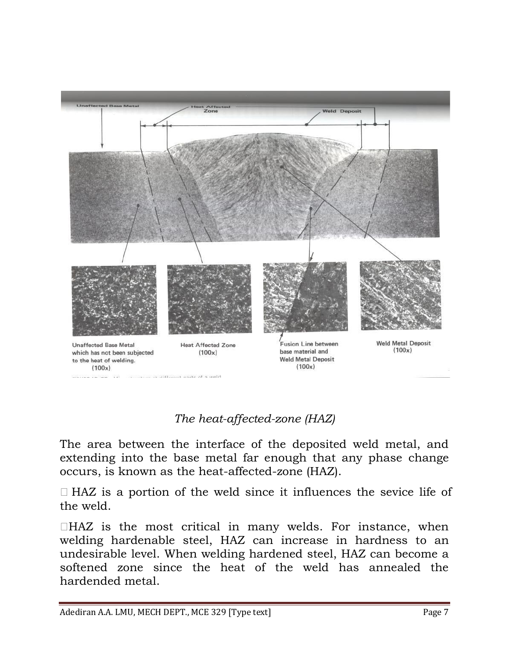

# *The heat-affected-zone (HAZ)*

The area between the interface of the deposited weld metal, and extending into the base metal far enough that any phase change occurs, is known as the heat-affected-zone (HAZ).

 $\Box$  HAZ is a portion of the weld since it influences the sevice life of the weld.

 $\Box$ HAZ is the most critical in many welds. For instance, when welding hardenable steel, HAZ can increase in hardness to an undesirable level. When welding hardened steel, HAZ can become a softened zone since the heat of the weld has annealed the hardended metal.